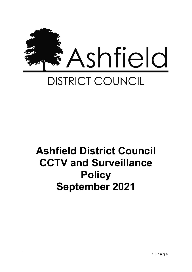

# **Ashfield District Council CCTV and Surveillance Policy September 2021**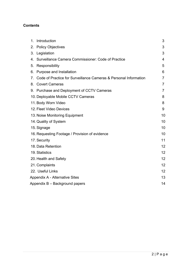# **Contents**

|                                | 1. Introduction                                                     | 3              |
|--------------------------------|---------------------------------------------------------------------|----------------|
|                                | 2. Policy Objectives                                                | 3              |
|                                | 3. Legislation                                                      | 3              |
|                                | 4. Surveillance Camera Commissioner: Code of Practice               | 4              |
|                                | 5. Responsibility                                                   | 5              |
|                                | 6. Purpose and Installation                                         | 6              |
|                                | 7. Code of Practice for Surveillance Cameras & Personal Information | 7              |
|                                | 8. Covert Cameras                                                   | $\overline{7}$ |
|                                | 9. Purchase and Deployment of CCTV Cameras                          | 7              |
|                                | 10. Deployable Mobile CCTV Cameras                                  | 8              |
|                                | 11. Body Worn Video                                                 | 8              |
|                                | 12. Fleet Video Devices                                             | 9              |
|                                | 13. Noise Monitoring Equipment                                      | 10             |
|                                | 14. Quality of System                                               | 10             |
|                                | 15. Signage                                                         | 10             |
|                                | 16. Requesting Footage / Provision of evidence                      | 10             |
|                                | 17. Security                                                        | 11             |
|                                | 18. Data Retention                                                  | 12             |
|                                | 19. Statistics                                                      | 12             |
|                                | 20. Health and Safety                                               | 12             |
|                                | 21. Complaints                                                      | 12             |
|                                | 22. Useful Links                                                    | 12             |
|                                | <b>Appendix A - Alternative Sites</b>                               |                |
| Appendix B - Background papers |                                                                     |                |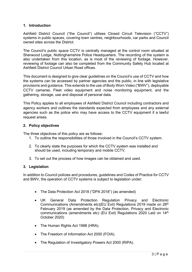# **1. Introduction**

Ashfield District Council ("the Council") utilises Closed Circuit Television ("CCTV") systems in public spaces, covering town centres, neighbourhoods, car parks and Council owned sites across the District.

The Council's public space CCTV is centrally managed at the control room situated at Sherwood Lodge, Nottinghamshire Police Headquarters. The recording of the system is also undertaken from this location, as is most of the reviewing of footage. However, reviewing of footage can also be completed from the Community Safety Hub located at Ashfield District Council Urban Road offices.

This document is designed to give clear guidelines on the Council's use of CCTV and how the systems can be accessed by partner agencies and the public, in line with legislative provisions and guidance. This extends to the use of Body Worn Video ("BWV"), deployable CCTV cameras, Fleet video equipment and noise monitoring equipment, and the gathering, storage, use and disposal of personal data.

This Policy applies to all employees of Ashfield District Council including contractors and agency workers and outlines the standards expected from employees and any external agencies such as the police who may have access to the CCTV equipment if a lawful request arises.

# **2. Policy objectives**

The three objectives of this policy are as follows:

- 1. To outline the responsibilities of those involved in the Council's CCTV system.
- 2. To clearly state the purposes for which the CCTV system was installed and should be used, including temporary and mobile CCTV.
- 3. To set out the process of how images can be obtained and used.

# **3. Legislation**

In addition to Council policies and procedures, guidelines and Codes of Practice for CCTV and BWV, the operation of CCTV systems is subject to legislation under:

- The Data Protection Act 2018 ("DPA 2018") (as amended)
- UK General Data Protection Regulation Privacy and Electronic Communications (Amendments etc)(EU Exit) Regulations 2019 made on 28th February 2019 (as amended by the Data Protection, Privacy and Electronic communications (amendments etc) (EU Exit) Regulations 2020 Laid on 14th October 2020)
- The Human Rights Act 1998 (HRA).
- The Freedom of Information Act 2000 (FOIA).
- The Regulation of Investigatory Powers Act 2000 (RIPA).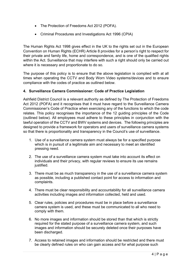- The Protection of Freedoms Act 2012 (POFA).
- Criminal Procedures and Investigations Act 1996 (CPIA)

The Human Rights Act 1998 gives effect in the UK to the rights set out in the European Convention on Human Rights (ECHR) Article 8 provides for a person's right to respect for their private and family life, home and correspondence, and is one of the qualified rights within the Act. Surveillance that may interfere with such a right should only be carried out where it is necessary and proportionate to do so.

The purpose of this policy is to ensure that the above legislation is complied with at all times when operating the CCTV and Body Worn Video systems/devices and to ensure compliance with the codes of practice as outlined below.

# **4. Surveillance Camera Commissioner: Code of Practice Legislation**

Ashfield District Council is a relevant authority as defined by The Protection of Freedoms Act 2012 (POFA) and it recognises that it must have regard to the Surveillance Camera Commissioner's Code of Practice when exercising any of the functions to which the code relates. This policy recognises the importance of the 12 guiding principles of the Code (outlined below). All employees must adhere to these principles in conjunction with the lawful operation of the CCTV and BWV systems and devices. The following principles are designed to provide a framework for operators and users of surveillance camera systems so that there is proportionality and transparency in the Council's use of surveillance.

- 1. Use of a surveillance camera system must always be for a specified purpose which is in pursuit of a legitimate aim and necessary to meet an identified pressing need.
- 2. The use of a surveillance camera system must take into account its effect on individuals and their privacy, with regular reviews to ensure its use remains justified.
- 3. There must be as much transparency in the use of a surveillance camera system as possible, including a published contact point for access to information and complaints.
- 4. There must be clear responsibility and accountability for all surveillance camera activities including images and information collected, held and used.
- 5. Clear rules, policies and procedures must be in place before a surveillance camera system is used, and these must be communicated to all who need to comply with them.
- 6. No more images and information should be stored than that which is strictly required for the stated purpose of a surveillance camera system, and such images and information should be securely deleted once their purposes have been discharged.
- 7. Access to retained images and information should be restricted and there must be clearly defined rules on who can gain access and for what purpose such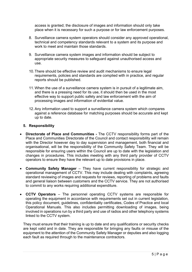access is granted; the disclosure of images and information should only take place when it is necessary for such a purpose or for law enforcement purposes.

- 8. Surveillance camera system operators should consider any approved operational, technical and competency standards relevant to a system and its purpose and work to meet and maintain those standards.
- 9. Surveillance camera system images and information should be subject to appropriate security measures to safeguard against unauthorised access and use.
- 10. There should be effective review and audit mechanisms to ensure legal requirements, policies and standards are complied with in practice, and regular reports should be published.
- 11. When the use of a surveillance camera system is in pursuit of a legitimate aim, and there is a pressing need for its use, it should then be used in the most effective way to support public safety and law enforcement with the aim of processing images and information of evidential value.
- 12.Any information used to support a surveillance camera system which compares against a reference database for matching purposes should be accurate and kept up to date.

# **5. Responsibility**

- **Directorate of Place and Communities** The CCTV responsibility forms part of the Place and Communities Directorate of the Council and contact responsibility will remain with the Director however day to day supervision and management, both financial and organisational, will be the responsibility of the Community Safety Team. They will be responsible for ensuring users within the Council are up to date with the legislation and changes in procedures. This includes meeting with any third party provider of CCTV operators to ensure they have the relevant up to date provisions in place.
- **Community Safety Manager** They have current responsibility for strategic and operational management of CCTV. This may include dealing with complaints, agreeing standard reviewing of images and requests for reviews, reporting of problems and faults and general liaison between customers and the CCTV service. They are not authorised to commit to any works requiring additional expenditure.
- **CCTV Operators**  The personnel operating CCTV systems are responsible for operating the equipment in accordance with requirements set out in current legislation, this policy document, guidelines, confidentiality certificates, Codes of Practice and local Operational Manuals. This also includes permitting downloading of images, being involved in operations run by a third party and use of radios and other telephony systems linked to the CCTV system.

They must ensure that their training is up to date and any qualifications or security checks are kept valid and in date. They are responsible for bringing any faults or misuse of the equipment to the attention of the Community Safety Manager or deputies and also logging each fault as required through to the maintenance contractors.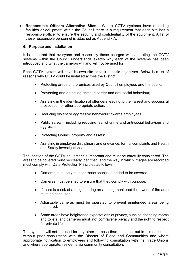• **Responsible Officers Alternative Sites** - Where CCTV systems have recording facilities or equipment within the Council there is a requirement that each site has a responsible officer to ensure the security and confidentiality of the equipment. A list of these responsible personnel is attached as Appendix A.

#### **6. Purpose and Installation**

It is important that everyone and especially those charged with operating the CCTV systems within the Council understands exactly why each of the systems has been introduced and what the cameras will and will not be used for.

Each CCTV system will have its own site or task specific objectives. Below is a list of reasons why CCTV could be installed across the District:

- Protecting areas and premises used by Council employees and the public;
- Preventing and detecting crime, disorder and anti-social behaviour;
- Assisting in the identification of offenders leading to their arrest and successful prosecution or other appropriate action;
- Reducing violent or aggressive behaviour towards employees:
- Public safety including reducing fear of crime and anti-social behaviour and aggression;
- Protecting Council property and assets:
- Assisting in employee disciplinary and grievance, formal complaints and Health and Safety investigations.

The location of the CCTV equipment is important and must be carefully considered. The areas to be covered must be clearly identified, and the way in which images are recorded must comply with Data Protection Principles as follows:

- Cameras must only monitor those spaces intended to be covered.
- Cameras must be sited to ensure that they comply with purpose.
- If there is a risk of a neighbouring area being monitored the owner of the area must be consulted.
- Adjustable cameras must be operated to prevent unintended areas being monitored.
- Some areas have heightened expectations of privacy, such as changing rooms and toilets, and cameras must not contravene privacy and the right to respect for private life.

The systems will not be used for any other purpose than those set out in this document without prior consultation with the Director of Place and Communities and where appropriate notification to employees and following consultation with the Trade Unions and where appropriate, residents via community consultation.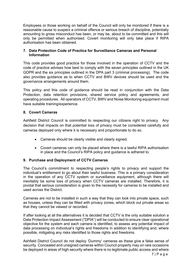Employees or those working on behalf of the Council will only be monitored if there is a reasonable cause to suspect a criminal offence or serious breach of discipline, potentially amounting to gross misconduct has been, or may be, about to be committed and this will only be permitted when authorised. Covert monitoring will only take place if RIPA authorisation has been obtained.

#### **7. Data Protection Code of Practice for Surveillance Cameras and Personal Information**

This code provides good practice for those involved in the operation of CCTV and the code of practice advises how best to comply with the seven principles outlined in the UK GDPR and the six principles outlined in the DPA part 3 (criminal processing). The code also provides guidance as to when CCTV and BWV devices should be used and the governance arrangements around them.

This policy and this code of guidance should be read in conjunction with the Data Protection, data retention provisions, shared service policy and agreements, and operating procedures. All operators of CCTV, BWV and Noise Monitoring equipment must have suitable training/experience.

# **8. Covert Cameras**

Ashfield District Council is committed to respecting our citizens right to privacy. Any decision that impacts on that potential loss of privacy must be considered carefully and cameras deployed only where it is necessary and proportionate to do so.

- Cameras should be clearly visible and clearly signed.
- Covert cameras can only be placed where there is a lawful RIPA authorisation in place and the Council's RIPA policy and guidance is adhered to.

#### **9. Purchase and Deployment of CCTV Cameras**

The Council's commitment to respecting people's rights to privacy and support the individual's entitlement to go about their lawful business. This is a primary consideration in the operation of any CCTV system or surveillance equipment, although there will inevitably be some loss of privacy when CCTV cameras are installed. Therefore, it is pivotal that serious consideration is given to the necessity for cameras to be installed and used across the District.

Cameras are not to be installed in such a way that they can look into private space, such as houses, unless they can be fitted with privacy zones, which block out private areas so that they cannot be viewed or recorded.

If after looking at all the alternatives it is decided that CCTV is the only suitable solution a Data Protection Impact Assessment ("DPIA") will be conducted to ensure clear operational objective for the system and each camera is identified, to assess any potential impact of data processing on individual's rights and freedoms in addition to identifying and, where possible, mitigating any risks identified to those rights and freedoms.

Ashfield District Council do not deploy 'Dummy' cameras as these give a false sense of security. Concealed and unsigned cameras within Council property may on rare occasions be deployed in areas of high security where there is no legitimate public access and where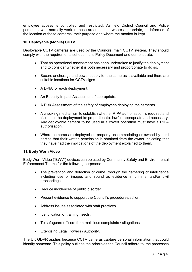employee access is controlled and restricted. Ashfield District Council and Police personnel who normally work in these areas should, where appropriate, be informed of the location of these cameras, their purpose and where the monitor is kept.

# **10. Deployable (Mobile) CCTV**

Deployable CCTV cameras are used by the Councils' main CCTV system. They should comply with the requirements set out in this Policy Document and demonstrate:

- That an operational assessment has been undertaken to justify the deployment and to consider whether it is both necessary and proportionate to do so.
- Secure anchorage and power supply for the cameras is available and there are suitable locations for CCTV signs.
- A DPIA for each deployment.
- An Equality Impact Assessment if appropriate.
- A Risk Assessment of the safety of employees deploying the cameras.
- A checking mechanism to establish whether RIPA authorisation is required and if so, that the deployment is: proportionate, lawful, appropriate and necessary. Any deployable camera to be used in a covert operation must have a RIPA authorisation.
- Where cameras are deployed on property accommodating or owned by third parties that their written permission is obtained from the owner indicating that they have had the implications of the deployment explained to them.

#### **11. Body Worn Video**

Body Worn Video ("BWV") devices can be used by Community Safety and Environmental Enforcement Teams for the following purposes:

- The prevention and detection of crime, through the gathering of intelligence including use of images and sound as evidence in criminal and/or civil proceedings.
- Reduce incidences of public disorder.
- Present evidence to support the Council's procedures/action.
- Address issues associated with staff practices.
- Identification of training needs.
- To safeguard officers from malicious complaints / allegations
- Exercising Legal Powers / Authority.

The UK GDPR applies because CCTV cameras capture personal information that could identify someone. This policy outlines the principles the Council adhere to, the processes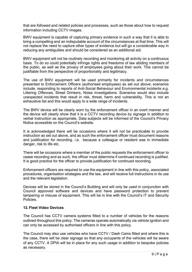that are followed and related policies and processes, such as those about how to request information including CCTV images.

BWV equipment is capable of capturing primary evidence in such a way that it is able to bring a compelling and an indisputable account of the circumstances at that time. This will not replace the need to capture other types of evidence but will go a considerable way in reducing any ambiguities and should be considered as an additional aid.

BWV equipment will not be routinely recording and monitoring all activity on a continuous basis. To do so could potentially infringe rights and freedoms of law abiding members of the public, as well as the privacy of employees going about their work. This cannot be justifiable from the perspective of proportionality and legitimacy.

The use of BWV equipment will be used primarily for incidents and circumstances presented to Enforcement Officers (authorised employees) as set out above; scenarios include, responding to reports of Anti-Social Behaviour and Environmental incidents e.g. Littering Offences, Street Drinkers, Noise investigations. Scenarios would also include unexpected incidents that result in risk, threat, harm and vulnerability. This is not an exhaustive list and this would apply to a wide range of incidents.

The BWV device will be clearly worn by the enforcement officer in an overt manner and the device will clearly show that it is a CCTV recording device by signage in addition to verbal instruction as appropriate. Data subjects will be informed of the Council's Privacy Notice accessible on the Council's website.

It is acknowledged there will be occasions where it will not be practicable to provide instruction as set out above, and as such the enforcement officer must document reasons and justification for recording. i.e. because a colleague or resident was in immediate danger, risk to life etc.

There will be occasions where a member of the public requests the enforcement officer to cease recording and as such, the officer must determine if continued recording is justified. It is good practice for the officer to provide justification for continued recording.

Enforcement officers are required to use the equipment in line with this policy, associated procedures, organisation strategies and the law, and will receive full instructions in its use and the relevant legislation.

Devices will be stored in the Council's Building and will only be used in conjunction with Council approved software and devices and have password protection to prevent tampering or misuse of equipment. This will be in line with the Council's IT and Security Policies.

# **12. Fleet Video Devices**

The Council has CCTV camera systems fitted to a number of vehicles for the reasons outlined throughout this policy. The cameras operate automatically via vehicle ignition and can only be accessed by authorised officers in line with this policy.

The Council may also use vehicles who have CCTV / Dash Cams fitted and where this is the case, there will be clear signage so that any occupants of the vehicles will be aware of any CCTV. A DPIA will be in place for any such usage in addition to bespoke policies as necessary.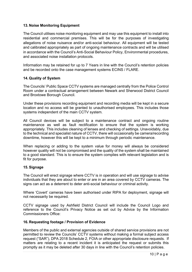# **13. Noise Monitoring Equipment**

The Council utilises noise monitoring equipment and may use this equipment to install into residential and commercial premises. This will be for the purposes of investigating allegations of noise nuisance and/or anti-social behaviour. All equipment will be tested and calibrated appropriately as part of ongoing maintenance contracts and will be utilised in accordance with the Council's Anti-Social Behaviour Policy, Environmental procedures, and associated noise installation protocols.

Information may be retained for up to 7 Years in line with the Council's retention policies and be recorded onto the case management systems ECINS / FLARE.

# **14. Quality of System**

The Councils' Public Space CCTV systems are managed centrally from the Police Control Room under a contractual arrangement between Newark and Sherwood District Council and Broxtowe Borough Council.

Under these provisions recording equipment and recording media will be kept in a secure location and no access will be granted to unauthorised employees. This includes those systems independent of the main CCTV system.

All Council devices will be subject to a maintenance contract and ongoing routine maintenance as well as fault rectification to ensure that the system is working appropriately. This includes cleaning of lenses and checking of settings. Unavoidably, due to the technical and specialist nature of CCTV, there will occasionally be camera/recording downtime, however this will be kept to a minimum through periodic maintenance.

When replacing or adding to the system value for money will always be considered however quality will not be compromised and the quality of the system shall be maintained to a good standard. This is to ensure the system complies with relevant legislation and is fit for purpose.

# **15. Signage**

The Council will erect signage where CCTV is in operation and will use signage to advise individuals that they are about to enter or are in an area covered by CCTV cameras. The signs can act as a deterrent to deter anti-social behaviour or criminal activity.

Where 'Covert' cameras have been authorised under RIPA for deployment, signage will not necessarily be required.

CCTV signage used by Ashfield District Council will include the Council Logo and reference to the Council's Privacy Notice as set out by Advice by the Information Commissioners Office:

#### **16. Requesting footage / Provision of Evidence**

Members of the public and external agencies outside of shared service provisions are not permitted to review the Councils' CCTV systems without making a formal subject access request ("SAR"), DPA 2018 Schedule 2, FOIA or other appropriate disclosure requests. If matters are relating to a recent incident it is anticipated the request or submits this promptly as it may be deleted after 30 days in line with the Council's retention policies.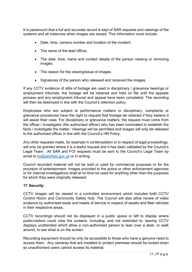It is paramount that a full and accurate record is kept of SAR requests and viewings of the systems and all instances when images are issued. This information must include:

- Date, time, camera number and location of the incident.
- The name of the lead officer,
- The date, time, name and contact details of the person viewing or removing images.
- The reason for the viewing/issue of images.
- Signatures of the person who released and received the images.

If any CCTV evidence of stills of footage are used in disciplinary / grievance hearings or employment tribunals, the footage will be retained and held on file until the appeals process and any employment tribunal and appeal have been completed. The recording will then be destroyed in line with the Council's retention policy.

Employees who are subject to performance matters or disciplinary, complaints or grievance procedures have the right to request that footage be retained if they believe it will assist their case. For disciplinary or grievance matters, the request must come from the officer / investigator (the authorised officer) who has been nominated to establish the facts / investigate the matter. Viewings will be permitted and images will only be released to the authorised officer in line with the Council's HR Policy.

Any other requests made, for example in contemplation or in respect of legal proceedings, will only be granted where it is a lawful request and it has been validated by the Council's Legal Team. All SAR and FOI requests must be sent to the Council's Legal Team by email to [foi@ashfield.gov.uk](mailto:foi@ashfield.gov.uk) or in writing.

Council recorded material will not be sold or used for commercial purposes or for the provision of entertainment. Images provided to the police or other enforcement agencies or for internal investigations shall at no time be used for anything other than the purposes for which they were originally released.

# **17. Security**

CCTV images will be viewed in a controlled environment which includes both CCTV Control Room and Community Safety Hub. The Council will also allow review of video evidence by authorised leads and heads of service in respect of assets and fleet vehicles in their respective areas.

CCTV recordings should not be displayed in a public space or left to display where public/visitors could view the screens. Including, and not restricted to, leaving CCTV displays unattended which allow a non-authorised person to lean over a desk, or walk around, to see what is on the screen.

Recording equipment should be only be accessible to those who have a genuine need to access them. Any cameras that are installed to protect premises should be locked down so unauthorised users cannot access its material.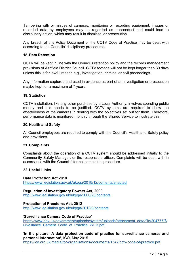Tampering with or misuse of cameras, monitoring or recording equipment, images or recorded data by employees may be regarded as misconduct and could lead to disciplinary action, which may result in dismissal or prosecution.

Any breach of this Policy Document or the CCTV Code of Practice may be dealt with according to the Councils' disciplinary procedures.

#### **18. Data Retention**

CCTV will be kept in line with the Council's retention policy and the records management provisions of Ashfield District Council. CCTV footage will not be kept longer than 30 days unless this is for lawful reason e.g., investigation, criminal or civil proceedings.

Any information captured and used in evidence as part of an investigation or prosecution maybe kept for a maximum of 7 years.

#### **19. Statistics**

CCTV installation, like any other purchase by a Local Authority, involves spending public money and this needs to be justified. CCTV systems are required to show the effectiveness of the cameras in dealing with the objectives set out for them. Therefore, performance data is monitored monthly through the Shared Service to illustrate this.

#### **20. Health and Safety**

All Council employees are required to comply with the Council's Health and Safety policy and provisions.

#### **21. Complaints**

Complaints about the operation of a CCTV system should be addressed initially to the Community Safety Manager, or the responsible officer. Complaints will be dealt with in accordance with the Councils' formal complaints procedure.

#### **22. Useful Links**

**Data Protection Act 2018** <https://www.legislation.gov.uk/ukpga/2018/12/contents/enacted>

**Regulation of Investigatory Powers Act, 2000** <http://www.legislation.gov.uk/ukpga/2000/23/contents>

**Protection of Freedoms Act, 2012**  <http://www.legislation.gov.uk/ukpga/2012/9/contents>

#### '**Surveillance Camera Code of Practice'**

[https://www.gov.uk/government/uploads/system/uploads/attachment\\_data/file/204775/S](https://www.gov.uk/government/uploads/system/uploads/attachment_data/file/204775/Surveillance_Camera_Code_of_Practice_WEB.pdf) urveillance Camera Code of Practice WEB.pdf

'**In the picture: A data protection code of practice for surveillance cameras and personal information'**, ICO, May 2015 <https://ico.org.uk/media/for-organisations/documents/1542/cctv-code-of-practice.pdf>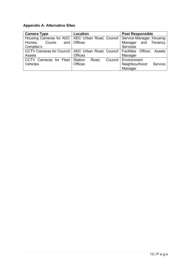# **Appendix A- Alternative Sites**

| <b>Camera Type</b>     | Location                                                                        | <b>Post Responsible</b>  |  |
|------------------------|---------------------------------------------------------------------------------|--------------------------|--|
|                        | Housing Cameras for ADC   ADC Urban Road, Council   Service Manager, Housing    |                          |  |
| Courts<br>Homes,       | and   Offices                                                                   | Manager and Tenancy      |  |
| Complex's              |                                                                                 | <b>Services</b>          |  |
|                        | CCTV Cameras for Council   ADC Urban Road, Council   Facilities Officer, Assets |                          |  |
| Assets                 | <b>Offices</b>                                                                  | Manager                  |  |
| CCTV Cameras for Fleet | Station<br>Road,                                                                | Council   Environment    |  |
| Vehicles               | <b>Offices</b>                                                                  | Neighbourhood<br>Service |  |
|                        |                                                                                 | Manager                  |  |